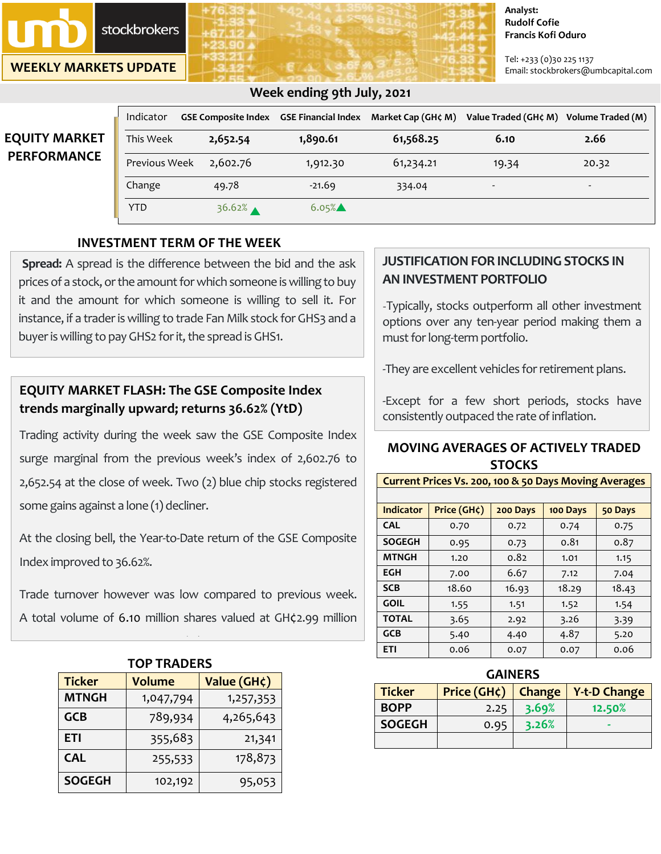**stockbrokers** 

**WEEKLY MARKETS UPDATE**

#### **Analyst: Rudolf Cofie Francis Kofi Oduro**

Tel: +233 (0)30 225 1137 Email: stockbrokers@umbcapital.com

### **Week ending 9th July, 2021**

|                      | Indicator     |          |          |           | GSE Composite Index GSE Financial Index Market Cap (GH¢ M) Value Traded (GH¢ M) Volume Traded (M) |                          |
|----------------------|---------------|----------|----------|-----------|---------------------------------------------------------------------------------------------------|--------------------------|
| <b>EQUITY MARKET</b> | This Week     | 2,652.54 | 1,890.61 | 61,568.25 | 6.10                                                                                              | 2.66                     |
| <b>PERFORMANCE</b>   | Previous Week | 2,602.76 | 1,912.30 | 61,234.21 | 19.34                                                                                             | 20.32                    |
|                      | Change        | 49.78    | $-21.69$ | 334.04    |                                                                                                   | $\overline{\phantom{0}}$ |
|                      | YTD           | 36.62%   | $6.05\%$ |           |                                                                                                   |                          |

#### YTD **34.05% 7.27% INVESTMENT TERM OF THE WEEK**

**Spread:** A spread is the difference between the bid and the ask prices of a stock, or the amount for which someone is willing to buy it and the amount for which someone is willing to sell it. For instance, if a trader is willing to trade Fan Milk stock for GHS3 and a buyer is willing to pay GHS2 for it, the spread is GHS1.

## **EQUITY MARKET FLASH: The GSE Composite Index trends marginally upward; returns 36.62% (YtD)**

Trading activity during the week saw the GSE Composite Index surge marginal from the previous week's index of 2,602.76 to 2,652.54 at the close of week. Two (2) blue chip stocks registered some gains against a lone (1) decliner.

At the closing bell, the Year-to-Date return of the GSE Composite Index improved to 36.62%.

Trade turnover however was low compared to previous week. A total volume of 6.10 million shares valued at GH¢2.99 million

| <b>TOP TRADERS</b> |               |             |  |  |
|--------------------|---------------|-------------|--|--|
| <b>Ticker</b>      | <b>Volume</b> | Value (GH¢) |  |  |
| <b>MTNGH</b>       | 1,047,794     | 1,257,353   |  |  |
| GCB                | 789,934       | 4,265,643   |  |  |
| ETI                | 355,683       | 21,341      |  |  |
| <b>CAL</b>         | 255,533       | 178,873     |  |  |
| <b>SOGEGH</b>      | 102,192       | 95,053      |  |  |

exchanged hands in twenty-one (21) equities.

# **JUSTIFICATION FOR INCLUDING STOCKS IN AN INVESTMENT PORTFOLIO**

-Typically, stocks outperform all other investment options over any ten-year period making them a must for long-term portfolio.

-They are excellent vehicles for retirement plans.

-Except for a few short periods, stocks have consistently outpaced the rate of inflation.

### **MOVING AVERAGES OF ACTIVELY TRADED STOCKS**

| Current Prices Vs. 200, 100 & 50 Days Moving Averages |  |
|-------------------------------------------------------|--|
|                                                       |  |

| <b>Indicator</b> | Price (GH¢) | 200 Days | 100 Days | 50 Days |
|------------------|-------------|----------|----------|---------|
| <b>CAL</b>       | 0.70        | 0.72     | 0.74     | 0.75    |
| <b>SOGEGH</b>    | 0.95        | 0.73     | 0.81     | 0.87    |
| <b>MTNGH</b>     | 1.20        | 0.82     | 1.01     | 1.15    |
| <b>EGH</b>       | 7.00        | 6.67     | 7.12     | 7.04    |
| <b>SCB</b>       | 18.60       | 16.93    | 18.29    | 18.43   |
| <b>GOIL</b>      | 1.55        | 1.51     | 1.52     | 1.54    |
| <b>TOTAL</b>     | 3.65        | 2.92     | 3.26     | 3.39    |
| <b>GCB</b>       | 5.40        | 4.40     | 4.87     | 5.20    |
| <b>ETI</b>       | 0.06        | 0.07     | 0.07     | 0.06    |

| <b>GAINERS</b> |             |               |                     |  |  |  |
|----------------|-------------|---------------|---------------------|--|--|--|
| <b>Ticker</b>  | Price (GH¢) | <b>Change</b> | <b>Y-t-D Change</b> |  |  |  |
| <b>BOPP</b>    | 2.25        | 3.69%         | 12.50%              |  |  |  |
| <b>SOGEGH</b>  | 0.95        | 3.26%         |                     |  |  |  |
|                |             |               |                     |  |  |  |